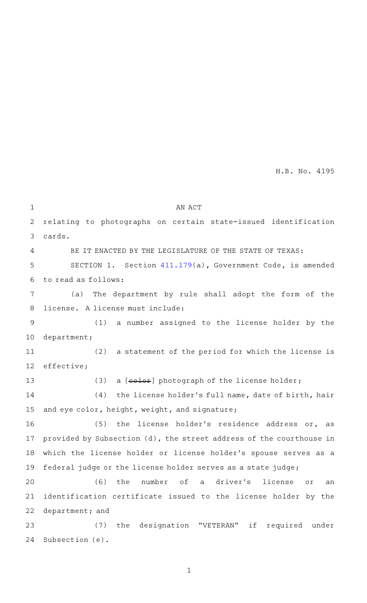H.B. No. 4195

| 1              | AN ACT                                                              |
|----------------|---------------------------------------------------------------------|
| 2              | relating to photographs on certain state-issued identification      |
| 3              | cards.                                                              |
| 4              | BE IT ENACTED BY THE LEGISLATURE OF THE STATE OF TEXAS:             |
| 5              | SECTION 1. Section $411.179(a)$ , Government Code, is amended       |
| 6              | to read as follows:                                                 |
| 7              | The department by rule shall adopt the form of the<br>(a)           |
| 8              | license. A license must include:                                    |
| $\overline{9}$ | (1)<br>a number assigned to the license holder by the               |
| 10             | department;                                                         |
| 11             | (2) a statement of the period for which the license is              |
| 12             | effective;                                                          |
| 13             | a [color] photograph of the license holder;<br>(3)                  |
| 14             | (4) the license holder's full name, date of birth, hair             |
| 15             | and eye color, height, weight, and signature;                       |
| 16             | (5)<br>the license holder's residence address or, as                |
| 17             | provided by Subsection (d), the street address of the courthouse in |
| 18             | which the license holder or license holder's spouse serves as a     |
| 19             | federal judge or the license holder serves as a state judge;        |
| 20             | the number of a driver's license<br>(6)<br>Оľ<br>an                 |
| 21             | identification certificate issued to the license holder by the      |
| 22             | department; and                                                     |
| 23             | (7)<br>the designation "VETERAN"<br>if required under               |
| 24             | Subsection (e).                                                     |

1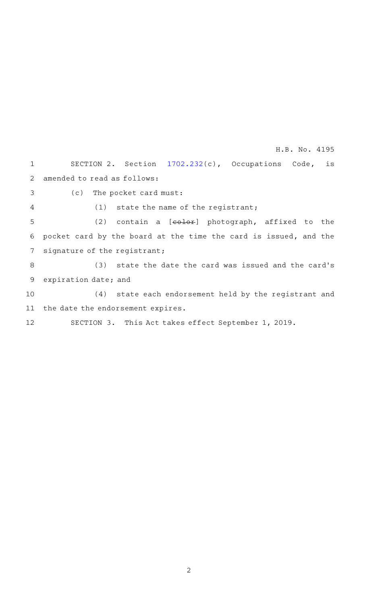SECTION 2. Section [1702.232\(](http://www.statutes.legis.state.tx.us/GetStatute.aspx?Code=OC&Value=1702.232&Date=5/21/2019)c), Occupations Code, is amended to read as follows: (c) The pocket card must:  $(1)$  state the name of the registrant; (2) contain a  $[echer]$  photograph, affixed to the 6 pocket card by the board at the time the card is issued, and the signature of the registrant; (3) state the date the card was issued and the card's expiration date; and (4) state each endorsement held by the registrant and 11 the date the endorsement expires. SECTION 3. This Act takes effect September 1, 2019. 1 2 3 4 5 7 8 9 10 12 H.B. No. 4195